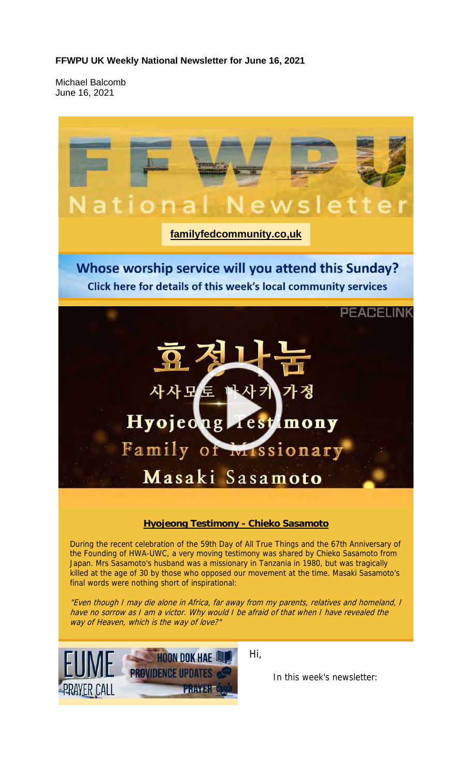#### **FFWPU UK Weekly National Newsletter for June 16, 2021**

Michael Balcomb June 16, 2021

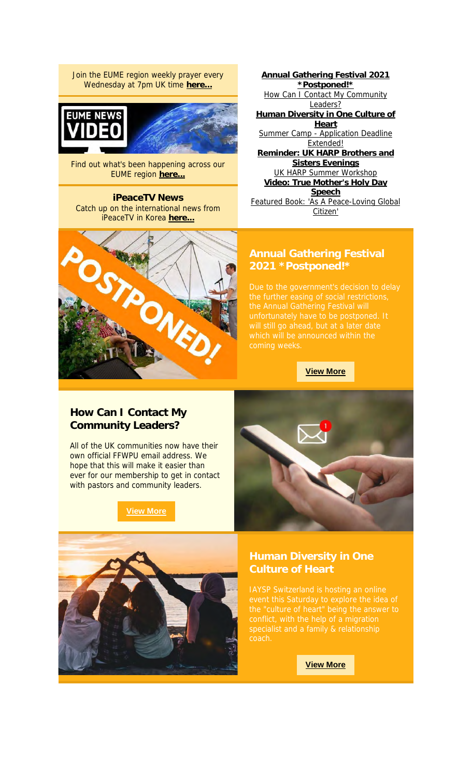Join the EUME region weekly prayer every Wednesday at 7pm UK time **here...**





Find out what's been happening across our EUME region **here...**

**iPeaceTV News** Catch up on the international news from iPeaceTV in Korea **here...**

**Annual Gathering Festival 2021 \*Postponed!\*** How Can I Contact My Community Leaders? **Human Diversity in One Culture of Heart** Summer Camp - Application Deadline Extended! **Reminder: UK HARP Brothers and Sisters Evenings** UK HARP Summer Workshop **Video: True Mother's Holy Day Speech** Featured Book: 'As A Peace-Loving Global Citizen'



# **2021 \*Postponed!\***

**View More**

### **How Can I Contact My Community Leaders?**

All of the UK communities now have their own official FFWPU email address. We hope that this will make it easier than ever for our membership to get in contact with pastors and community leaders.

**View More**





# **Culture of Heart**

**View More**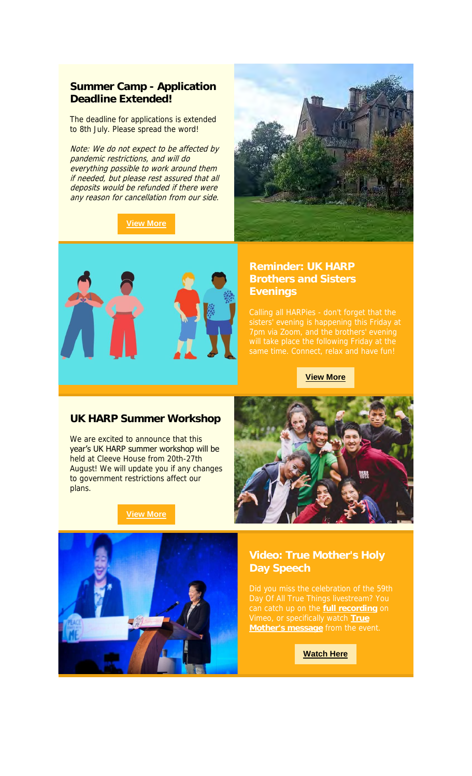#### **Summer Camp - Application Deadline Extended!**

The deadline for applications is extended to 8th July. Please spread the word!

Note: We do not expect to be affected by pandemic restrictions, and will do everything possible to work around them if needed, but please rest assured that all deposits would be refunded if there were any reason for cancellation from our side.

### **View More**





#### **Reminder: UK HARP Brothers and Sisters Evenings**

#### **View More**

#### **UK HARP Summer Workshop**

We are excited to announce that this year's UK HARP summer workshop will be held at Cleeve House from 20th-27th August! We will update you if any changes to government restrictions affect our plans.

#### **View More**



can catch up on the **full recording** on Vimeo, or specifically watch **True Mother's message** from the event.

**Watch Here**

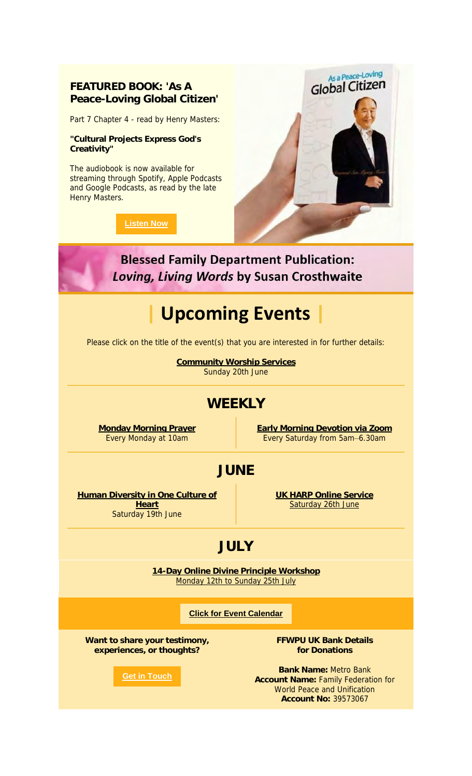### **FEATURED BOOK: 'As A Peace-Loving Global Citizen'**

Part 7 Chapter 4 - read by Henry Masters:

**"Cultural Projects Express God's Creativity"**

The audiobook is now available for streaming through Spotify, Apple Podcasts and Google Podcasts, as read by the late Henry Masters.

**Listen Now**



**Blessed Family Department Publication: Loving, Living Words by Susan Crosthwaite** 

# **| Upcoming Events |**

Please click on the title of the event(s) that you are interested in for further details:

**Community Worship Services** Sunday 20th June

### **WEEKLY**

**Monday Morning Prayer** Every Monday at 10am

**Early Morning Devotion via Zoom** Every Saturday from 5am–6.30am

### **JUNE**

**Human Diversity in One Culture of Heart** Saturday 19th June

**UK HARP Online Service** Saturday 26th June

## **JULY**

**14-Day Online Divine Principle Workshop** Monday 12th to Sunday 25th July

#### **Click for Event Calendar**

**Want to share your testimony, experiences, or thoughts?**

**Get in Touch**

**FFWPU UK Bank Details for Donations**

**Bank Name:** Metro Bank **Account Name:** Family Federation for World Peace and Unification **Account No:** 39573067